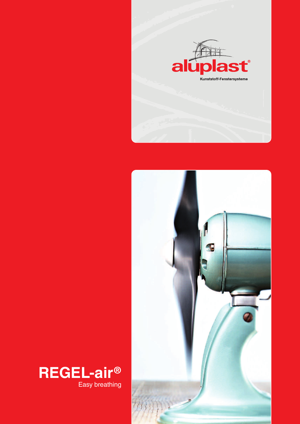